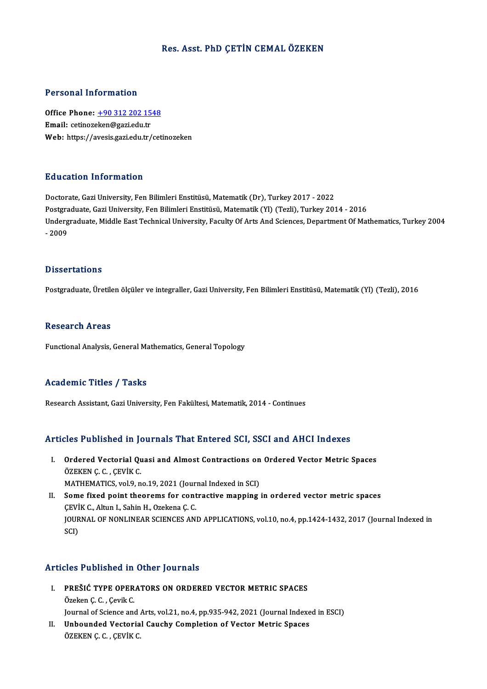# Res. Asst. PhD ÇETİN CEMALÖZEKEN

#### Personal Information

Personal Information<br>Office Phone: <u>+90 312 202 1548</u><br>Email: estinazakan@gari.edu.tr Procession internation<br>Office Phone: <u>+90 312 202 15</u><br>Email: cetinoz[eken@gazi.edu.tr](tel:+90 312 202 1548) Email: cetinozeken@gazi.edu.tr<br>Web: https://avesis.gazi.edu.tr/cetinozeken

#### Education Information

Doctorate, Gazi University, Fen Bilimleri Enstitüsü, Matematik (Dr), Turkey 2017 - 2022 Puususeen minermatton<br>Doctorate, Gazi University, Fen Bilimleri Enstitüsü, Matematik (Dr), Turkey 2017 - 2022<br>Postgraduate, Gazi University, Fen Bilimleri Enstitüsü, Matematik (Yl) (Tezli), Turkey 2014 - 2016<br>Undergraduate Undergraduate, Middle East Technical University, Faculty Of Arts And Sciences, Department Of Mathematics, Turkey 2004<br>- 2009 Postgra<br>Underg<br>- 2009

#### **Dissertations**

Postgraduate, Üretilen ölçüler ve integraller, Gazi University, Fen Bilimleri Enstitüsü, Matematik (Yl) (Tezli), 2016

#### **Research Areas**

Functional Analysis, General Mathematics, General Topology

# Academic Titles / Tasks

Research Assistant, Gazi University, Fen Fakültesi, Matematik, 2014 - Continues

# Articles Published in Journals That Entered SCI, SSCI and AHCI Indexes

- rticles Published in Journals That Entered SCI, SSCI and AHCI Indexes<br>I. Ordered Vectorial Quasi and Almost Contractions on Ordered Vector Metric Spaces<br>ÖZEKEN C.C. CEVIK C Ordered Vectorial Qu<br>ÖZEKEN Ç. C. , ÇEVİK C.<br>MATUEMATICS. vol 9. n Ordered Vectorial Quasi and Almost Contractions on<br>ÖZEKEN Ç. C. , ÇEVİK C.<br>MATHEMATICS, vol.9, no.19, 2021 (Journal Indexed in SCI)<br>Some fixed point theorems for sentrastive manning ÖZEKEN Ç. C. , ÇEVİK C.<br>MATHEMATICS, vol.9, no.19, 2021 (Journal Indexed in SCI)<br>II. Some fixed point theorems for contractive mapping in ordered vector metric spaces<br>CEVİK C., Altun I., Sahin H., Ozekena C. C.
- MATHEMATICS, vol.9, no.19, 2021 (Journal)<br>Some fixed point theorems for cont<br>CEVİK C., Altun I., Sahin H., Ozekena Ç. C.<br>JOUPNAL OE NONLINEAR SCIENCES ANI JOURNAL OF NONLINEAR SCIENCES AND APPLICATIONS, vol.10, no.4, pp.1424-1432, 2017 (Journal Indexed in SCI)

#### Articles Published in Other Journals

- rticles Published in Other Journals<br>I. PREŠIĆ TYPE OPERATORS ON ORDERED VECTOR METRIC SPACES ores 1 denomed 11<br>PREŠIĆ TYPE OPER<br>Özeken Ç. C. , Çevik C.<br>Journal of Sciance and PREŠIĆ TYPE OPERATORS ON ORDERED VECTOR METRIC SPACES<br>Özeken Ç. C. , Çevik C.<br>Journal of Science and Arts, vol.21, no.4, pp.935-942, 2021 (Journal Indexed in ESCI)<br>Unhounded Vesterial Caushy Completion of Vester Metric Spa Özeken Ç. C. , Çevik C.<br>Journal of Science and Arts, vol.21, no.4, pp.935-942, 2021 (Journal Indexe<br>II. Unbounded Vectorial Cauchy Completion of Vector Metric Spaces<br>ÖZEVEN C. C. CEVIV C.
- Journal of Science and .<br><mark>Unbounded Vectoria</mark><br>ÖZEKEN Ç. C. , ÇEVİK C.